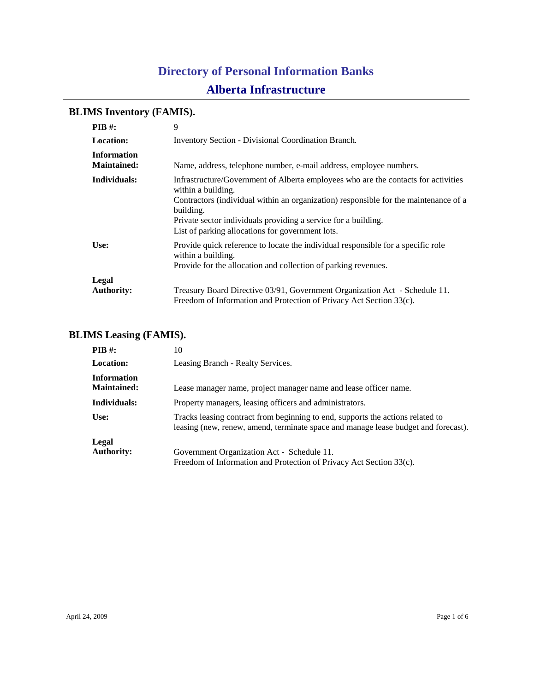# **BLIMS Inventory (FAMIS).**

| $PIB$ #:                                 | 9                                                                                                                                                                                                                                                                                                                                   |
|------------------------------------------|-------------------------------------------------------------------------------------------------------------------------------------------------------------------------------------------------------------------------------------------------------------------------------------------------------------------------------------|
| <b>Location:</b>                         | <b>Inventory Section - Divisional Coordination Branch.</b>                                                                                                                                                                                                                                                                          |
| <b>Information</b><br><b>Maintained:</b> | Name, address, telephone number, e-mail address, employee numbers.                                                                                                                                                                                                                                                                  |
| Individuals:                             | Infrastructure/Government of Alberta employees who are the contacts for activities<br>within a building.<br>Contractors (individual within an organization) responsible for the maintenance of a<br>building.<br>Private sector individuals providing a service for a building.<br>List of parking allocations for government lots. |
| Use:                                     | Provide quick reference to locate the individual responsible for a specific role<br>within a building.<br>Provide for the allocation and collection of parking revenues.                                                                                                                                                            |
| Legal<br><b>Authority:</b>               | Treasury Board Directive 03/91, Government Organization Act - Schedule 11.<br>Freedom of Information and Protection of Privacy Act Section 33(c).                                                                                                                                                                                   |

## **BLIMS Leasing (FAMIS).**

| $PIB$ #:                                 | 10                                                                                                                                                                   |
|------------------------------------------|----------------------------------------------------------------------------------------------------------------------------------------------------------------------|
| <b>Location:</b>                         | Leasing Branch - Realty Services.                                                                                                                                    |
| <b>Information</b><br><b>Maintained:</b> | Lease manager name, project manager name and lease officer name.                                                                                                     |
| Individuals:                             | Property managers, leasing officers and administrators.                                                                                                              |
| Use:                                     | Tracks leasing contract from beginning to end, supports the actions related to<br>leasing (new, renew, amend, terminate space and manage lease budget and forecast). |
| Legal                                    |                                                                                                                                                                      |
| <b>Authority:</b>                        | Government Organization Act - Schedule 11.                                                                                                                           |
|                                          | Freedom of Information and Protection of Privacy Act Section 33(c).                                                                                                  |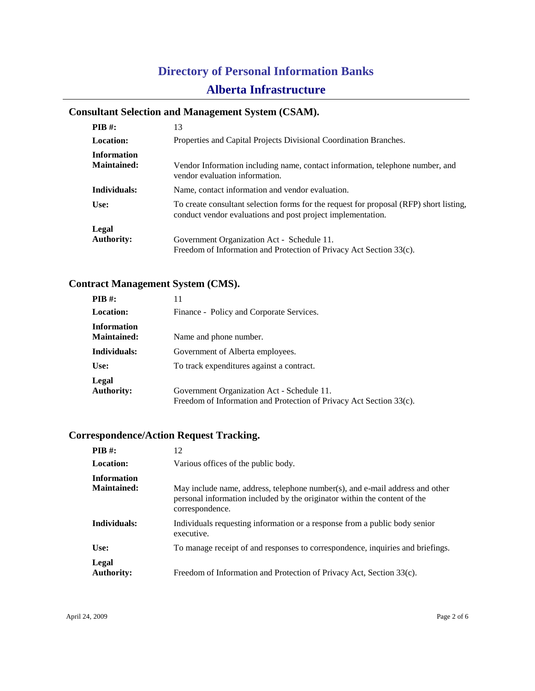## **Consultant Selection and Management System (CSAM).**

| <b>PIB</b> #:                            | 13                                                                                                                                                    |
|------------------------------------------|-------------------------------------------------------------------------------------------------------------------------------------------------------|
| <b>Location:</b>                         | Properties and Capital Projects Divisional Coordination Branches.                                                                                     |
| <b>Information</b><br><b>Maintained:</b> | Vendor Information including name, contact information, telephone number, and<br>vendor evaluation information.                                       |
| Individuals:                             | Name, contact information and vendor evaluation.                                                                                                      |
| Use:                                     | To create consultant selection forms for the request for proposal (RFP) short listing,<br>conduct vendor evaluations and post project implementation. |
| Legal                                    |                                                                                                                                                       |
| <b>Authority:</b>                        | Government Organization Act - Schedule 11.                                                                                                            |
|                                          | Freedom of Information and Protection of Privacy Act Section 33(c).                                                                                   |

## **Contract Management System (CMS).**

| $PIB$ #:                                 | 11                                                                  |
|------------------------------------------|---------------------------------------------------------------------|
| <b>Location:</b>                         | Finance - Policy and Corporate Services.                            |
| <b>Information</b><br><b>Maintained:</b> | Name and phone number.                                              |
| Individuals:                             | Government of Alberta employees.                                    |
| Use:                                     | To track expenditures against a contract.                           |
| Legal                                    |                                                                     |
| <b>Authority:</b>                        | Government Organization Act - Schedule 11.                          |
|                                          | Freedom of Information and Protection of Privacy Act Section 33(c). |

# **Correspondence/Action Request Tracking.**

| <b>PIB</b> $#$ :                         | 12                                                                                                                                                                           |
|------------------------------------------|------------------------------------------------------------------------------------------------------------------------------------------------------------------------------|
| Location:                                | Various offices of the public body.                                                                                                                                          |
| <b>Information</b><br><b>Maintained:</b> | May include name, address, telephone number(s), and e-mail address and other<br>personal information included by the originator within the content of the<br>correspondence. |
| Individuals:                             | Individuals requesting information or a response from a public body senior<br>executive.                                                                                     |
| Use:                                     | To manage receipt of and responses to correspondence, inquiries and briefings.                                                                                               |
| Legal<br><b>Authority:</b>               | Freedom of Information and Protection of Privacy Act, Section 33(c).                                                                                                         |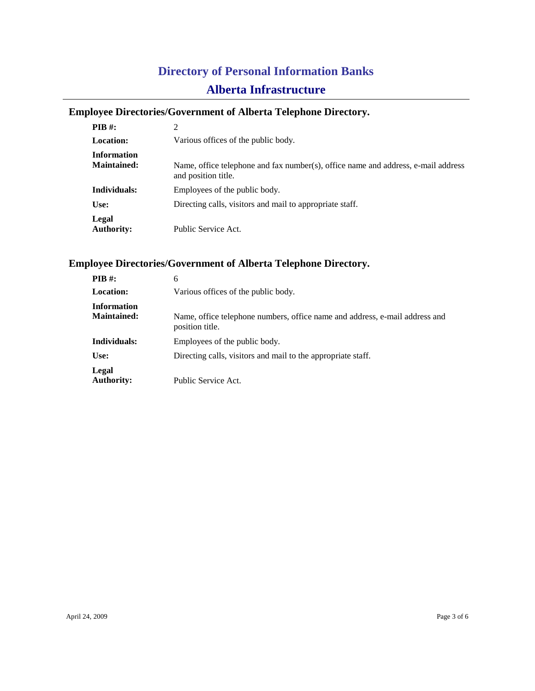## **Employee Directories/Government of Alberta Telephone Directory.**

| $PIB$ #:                   | 2                                                                                                        |
|----------------------------|----------------------------------------------------------------------------------------------------------|
| <b>Location:</b>           | Various offices of the public body.                                                                      |
| <b>Information</b>         |                                                                                                          |
| <b>Maintained:</b>         | Name, office telephone and fax number(s), office name and address, e-mail address<br>and position title. |
| Individuals:               | Employees of the public body.                                                                            |
| Use:                       | Directing calls, visitors and mail to appropriate staff.                                                 |
| Legal<br><b>Authority:</b> | Public Service Act.                                                                                      |

## **Employee Directories/Government of Alberta Telephone Directory.**

| PIB #:             | 6                                                                                              |
|--------------------|------------------------------------------------------------------------------------------------|
| <b>Location:</b>   | Various offices of the public body.                                                            |
| <b>Information</b> |                                                                                                |
| <b>Maintained:</b> | Name, office telephone numbers, office name and address, e-mail address and<br>position title. |
| Individuals:       | Employees of the public body.                                                                  |
| Use:               | Directing calls, visitors and mail to the appropriate staff.                                   |
| Legal              |                                                                                                |
| <b>Authority:</b>  | Public Service Act.                                                                            |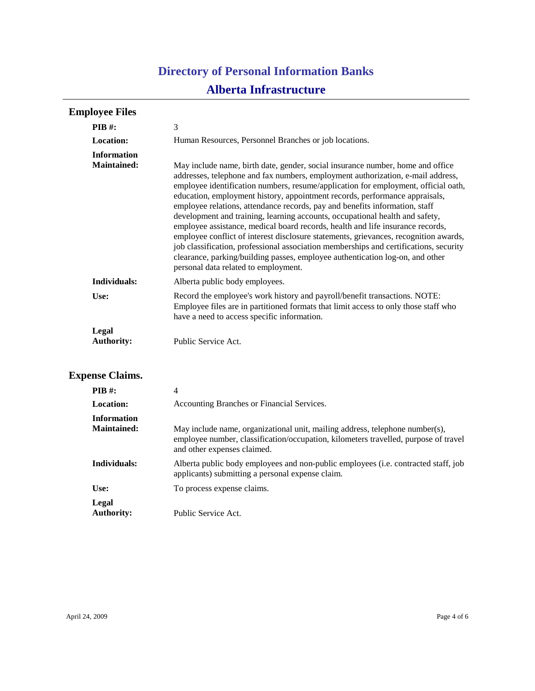| <b>Employee Files</b>                    |                                                                                                                                                                                                                                                                                                                                                                                                                                                                                                                                                                                                                                                                                                                                                                                                                                                                                                   |  |  |
|------------------------------------------|---------------------------------------------------------------------------------------------------------------------------------------------------------------------------------------------------------------------------------------------------------------------------------------------------------------------------------------------------------------------------------------------------------------------------------------------------------------------------------------------------------------------------------------------------------------------------------------------------------------------------------------------------------------------------------------------------------------------------------------------------------------------------------------------------------------------------------------------------------------------------------------------------|--|--|
| $PIB$ #:                                 | 3                                                                                                                                                                                                                                                                                                                                                                                                                                                                                                                                                                                                                                                                                                                                                                                                                                                                                                 |  |  |
| <b>Location:</b>                         | Human Resources, Personnel Branches or job locations.                                                                                                                                                                                                                                                                                                                                                                                                                                                                                                                                                                                                                                                                                                                                                                                                                                             |  |  |
| <b>Information</b><br><b>Maintained:</b> | May include name, birth date, gender, social insurance number, home and office<br>addresses, telephone and fax numbers, employment authorization, e-mail address,<br>employee identification numbers, resume/application for employment, official oath,<br>education, employment history, appointment records, performance appraisals,<br>employee relations, attendance records, pay and benefits information, staff<br>development and training, learning accounts, occupational health and safety,<br>employee assistance, medical board records, health and life insurance records,<br>employee conflict of interest disclosure statements, grievances, recognition awards,<br>job classification, professional association memberships and certifications, security<br>clearance, parking/building passes, employee authentication log-on, and other<br>personal data related to employment. |  |  |
| Individuals:                             | Alberta public body employees.                                                                                                                                                                                                                                                                                                                                                                                                                                                                                                                                                                                                                                                                                                                                                                                                                                                                    |  |  |
| Use:                                     | Record the employee's work history and payroll/benefit transactions. NOTE:<br>Employee files are in partitioned formats that limit access to only those staff who<br>have a need to access specific information.                                                                                                                                                                                                                                                                                                                                                                                                                                                                                                                                                                                                                                                                                  |  |  |
| Legal<br><b>Authority:</b>               | Public Service Act.                                                                                                                                                                                                                                                                                                                                                                                                                                                                                                                                                                                                                                                                                                                                                                                                                                                                               |  |  |

# **Expense Claims.**

| PIB #:             | 4                                                                                                                                                                                                  |
|--------------------|----------------------------------------------------------------------------------------------------------------------------------------------------------------------------------------------------|
| <b>Location:</b>   | Accounting Branches or Financial Services.                                                                                                                                                         |
| <b>Information</b> |                                                                                                                                                                                                    |
| <b>Maintained:</b> | May include name, organizational unit, mailing address, telephone number(s),<br>employee number, classification/occupation, kilometers travelled, purpose of travel<br>and other expenses claimed. |
| Individuals:       | Alberta public body employees and non-public employees ( <i>i.e.</i> contracted staff, job<br>applicants) submitting a personal expense claim.                                                     |
| Use:               | To process expense claims.                                                                                                                                                                         |
| Legal              |                                                                                                                                                                                                    |
| <b>Authority:</b>  | Public Service Act.                                                                                                                                                                                |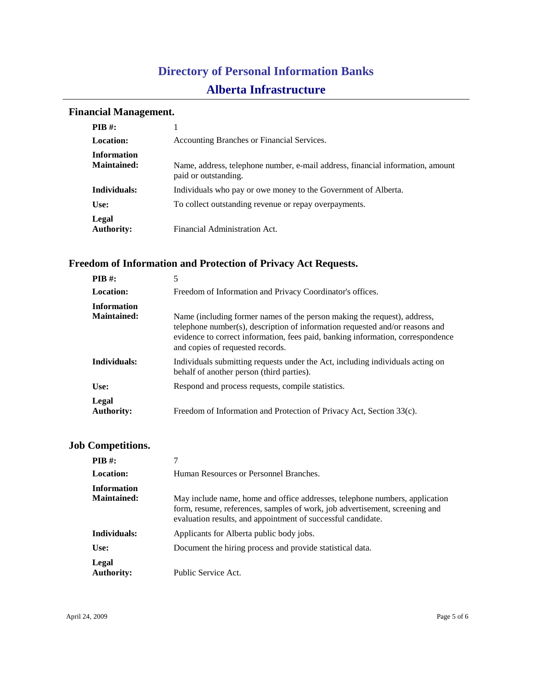## **Financial Management.**

| <b>PIB</b> #:              |                                                                                                        |
|----------------------------|--------------------------------------------------------------------------------------------------------|
| <b>Location:</b>           | Accounting Branches or Financial Services.                                                             |
| <b>Information</b>         |                                                                                                        |
| <b>Maintained:</b>         | Name, address, telephone number, e-mail address, financial information, amount<br>paid or outstanding. |
| Individuals:               | Individuals who pay or owe money to the Government of Alberta.                                         |
| Use:                       | To collect outstanding revenue or repay overpayments.                                                  |
| Legal<br><b>Authority:</b> | Financial Administration Act.                                                                          |

## **Freedom of Information and Protection of Privacy Act Requests.**

| PIB #:                                   | 5                                                                                                                                                                                                                                                                               |
|------------------------------------------|---------------------------------------------------------------------------------------------------------------------------------------------------------------------------------------------------------------------------------------------------------------------------------|
| Location:                                | Freedom of Information and Privacy Coordinator's offices.                                                                                                                                                                                                                       |
| <b>Information</b><br><b>Maintained:</b> | Name (including former names of the person making the request), address,<br>telephone number(s), description of information requested and/or reasons and<br>evidence to correct information, fees paid, banking information, correspondence<br>and copies of requested records. |
| Individuals:                             | Individuals submitting requests under the Act, including individuals acting on<br>behalf of another person (third parties).                                                                                                                                                     |
| Use:                                     | Respond and process requests, compile statistics.                                                                                                                                                                                                                               |
| Legal<br><b>Authority:</b>               | Freedom of Information and Protection of Privacy Act, Section 33(c).                                                                                                                                                                                                            |

## **Job Competitions.**

| PIB #:                                   |                                                                                                                                                                                                                            |
|------------------------------------------|----------------------------------------------------------------------------------------------------------------------------------------------------------------------------------------------------------------------------|
| Location:                                | Human Resources or Personnel Branches.                                                                                                                                                                                     |
| <b>Information</b><br><b>Maintained:</b> | May include name, home and office addresses, telephone numbers, application<br>form, resume, references, samples of work, job advertisement, screening and<br>evaluation results, and appointment of successful candidate. |
| Individuals:                             | Applicants for Alberta public body jobs.                                                                                                                                                                                   |
| Use:                                     | Document the hiring process and provide statistical data.                                                                                                                                                                  |
| Legal<br><b>Authority:</b>               | Public Service Act.                                                                                                                                                                                                        |